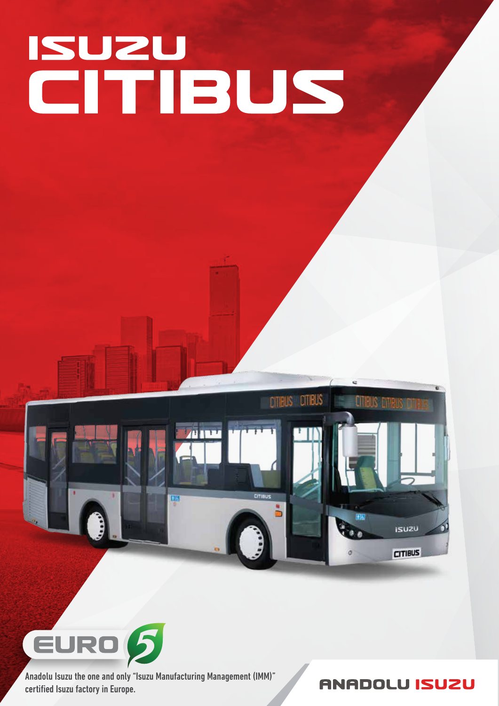# **SUZU<br>CITIBUS**





Anadolu Isuzu the one and only "Isuzu Manufacturing Management (IMM)" certified Isuzu factory in Europe.

**ANADOLU ISUZU**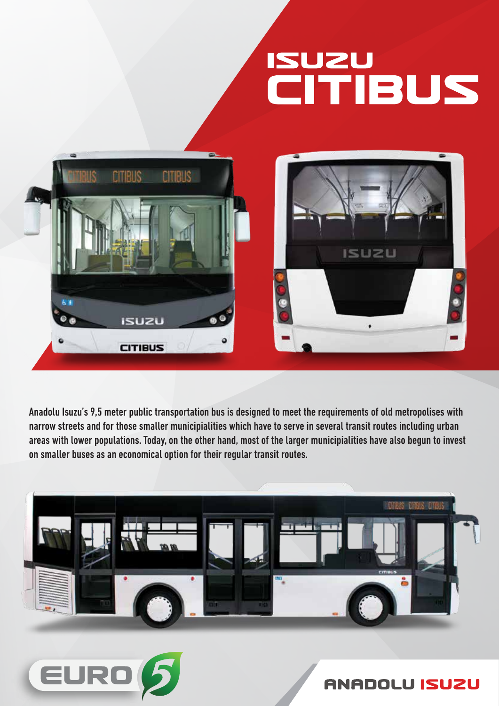# **ISUZU<br>CITIBUS**



Anadolu Isuzu's 9,5 meter public transportation bus is designed to meet the requirements of old metropolises with narrow streets and for those smaller municipialities which have to serve in several transit routes including urban areas with lower populations. Today, on the other hand, most of the larger municipialities have also begun to invest on smaller buses as an economical option for their regular transit routes.





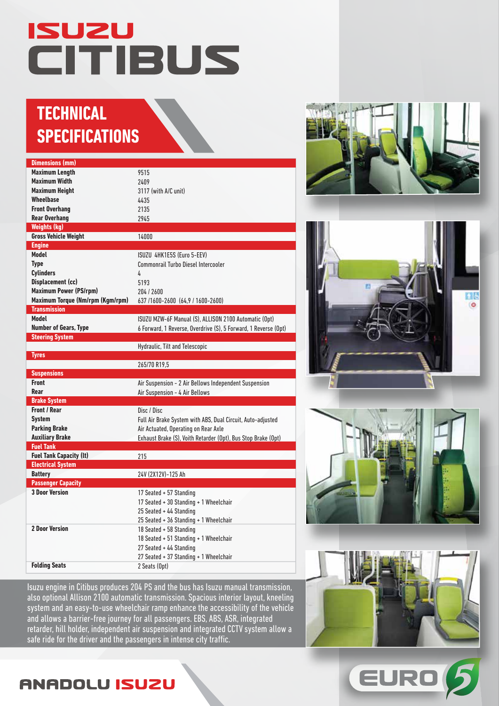## **ISUZU** CITIBUS

#### **TECHNICAL SPECIFICATIONS**

| <b>Dimensions (mm)</b>           |                                                                 |  |
|----------------------------------|-----------------------------------------------------------------|--|
| <b>Maximum Length</b>            | 9515                                                            |  |
| <b>Maximum Width</b>             | 2409                                                            |  |
| <b>Maximum Height</b>            | 3117 (with A/C unit)                                            |  |
| <b>Wheelbase</b>                 | 4435                                                            |  |
| <b>Front Overhang</b>            | 2135                                                            |  |
| <b>Rear Overhang</b>             | 2945                                                            |  |
| <b>Weights (kg)</b>              |                                                                 |  |
| <b>Gross Vehicle Weight</b>      | 14000                                                           |  |
| <b>Engine</b>                    |                                                                 |  |
| <b>Model</b>                     | ISUZU 4HK1E5S (Euro 5-EEV)                                      |  |
| <b>Type</b>                      | Commonrail Turbo Diesel Intercooler                             |  |
| <b>Cylinders</b>                 | 4                                                               |  |
| <b>Displacement (cc)</b>         | 5193                                                            |  |
| <b>Maximum Power (PS/rpm)</b>    | 204/2600                                                        |  |
| Maximum Torque (Nm/rpm (Kgm/rpm) | 637 /1600-2600 (64,9 / 1600-2600)                               |  |
| <b>Transmission</b>              |                                                                 |  |
| <b>Model</b>                     | ISUZU MZW-6F Manual (S), ALLISON 2100 Automatic (Opt)           |  |
| <b>Number of Gears, Type</b>     | 6 Forward, 1 Reverse, Overdrive (S), 5 Forward, 1 Reverse (Opt) |  |
| <b>Steering System</b>           |                                                                 |  |
|                                  | Hydraulic, Tilt and Telescopic                                  |  |
| <b>Tyres</b>                     |                                                                 |  |
|                                  | 265/70 R19,5                                                    |  |
| <b>Suspensions</b>               |                                                                 |  |
| <b>Front</b>                     | Air Suspension - 2 Air Bellows Independent Suspension           |  |
| Rear                             | Air Suspension - 4 Air Bellows                                  |  |
| <b>Brake System</b>              |                                                                 |  |
| <b>Front / Rear</b>              | Disc / Disc                                                     |  |
| <b>System</b>                    | Full Air Brake System with ABS, Dual Circuit, Auto-adjusted     |  |
| <b>Parking Brake</b>             | Air Actuated, Operating on Rear Axle                            |  |
| <b>Auxiliary Brake</b>           | Exhaust Brake (S), Voith Retarder (Opt), Bus Stop Brake (Opt)   |  |
| <b>Fuel Tank</b>                 |                                                                 |  |
| <b>Fuel Tank Capacity (It)</b>   | 215                                                             |  |
| <b>Electrical System</b>         |                                                                 |  |
| <b>Battery</b>                   | 24V (2X12V)-125 Ah                                              |  |
| <b>Passenger Capacity</b>        |                                                                 |  |
| <b>3 Door Version</b>            | 17 Seated + 57 Standing                                         |  |
|                                  | 17 Seated + 30 Standing + 1 Wheelchair                          |  |
|                                  | 25 Seated + 44 Standing                                         |  |
|                                  | 25 Seated + 36 Standing + 1 Wheelchair                          |  |
| <b>2 Door Version</b>            | 18 Seated + 58 Standing                                         |  |
|                                  | 18 Seated + 51 Standing + 1 Wheelchair                          |  |
|                                  | 27 Seated + 44 Standing                                         |  |
|                                  | 27 Seated + 37 Standing + 1 Wheelchair                          |  |
| <b>Folding Seats</b>             | 2 Seats (Opt)                                                   |  |
|                                  |                                                                 |  |

Isuzu engine in Citibus produces 204 PS and the bus has Isuzu manual transmission, also optional Allison 2100 automatic transmission. Spacious interior layout, kneeling system and an easy-to-use wheelchair ramp enhance the accessibility of the vehicle and allows a barrier-free journey for all passengers. EBS, ABS, ASR, integrated retarder, hill holder, independent air suspension and integrated CCTV system allow a safe ride for the driver and the passengers in intense city traffic.









EURO

#### **ANADOLU ISUZU**